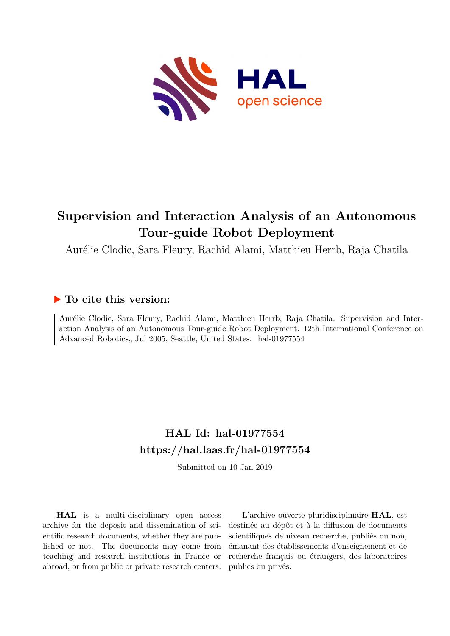

# **Supervision and Interaction Analysis of an Autonomous Tour-guide Robot Deployment**

Aurélie Clodic, Sara Fleury, Rachid Alami, Matthieu Herrb, Raja Chatila

## **To cite this version:**

Aurélie Clodic, Sara Fleury, Rachid Alami, Matthieu Herrb, Raja Chatila. Supervision and Interaction Analysis of an Autonomous Tour-guide Robot Deployment. 12th International Conference on Advanced Robotics, Jul 2005, Seattle, United States. hal-01977554

# **HAL Id: hal-01977554 <https://hal.laas.fr/hal-01977554>**

Submitted on 10 Jan 2019

**HAL** is a multi-disciplinary open access archive for the deposit and dissemination of scientific research documents, whether they are published or not. The documents may come from teaching and research institutions in France or abroad, or from public or private research centers.

L'archive ouverte pluridisciplinaire **HAL**, est destinée au dépôt et à la diffusion de documents scientifiques de niveau recherche, publiés ou non, émanant des établissements d'enseignement et de recherche français ou étrangers, des laboratoires publics ou privés.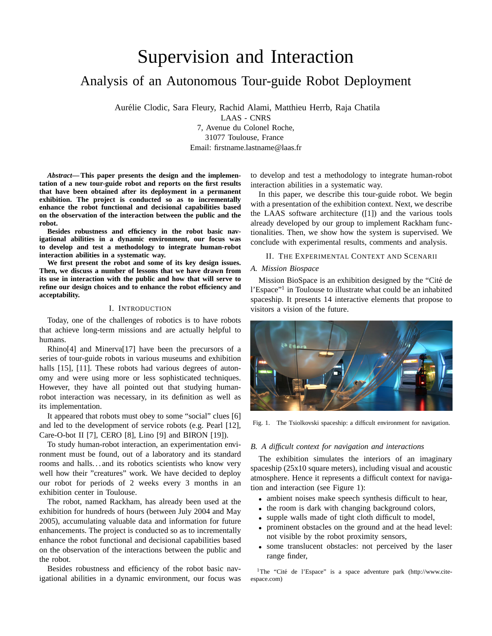# Supervision and Interaction Analysis of an Autonomous Tour-guide Robot Deployment

Aurelie Clodic, Sara Fleury, Rachid Alami, Matthieu Herrb, Raja Chatila ´

LAAS - CNRS

7, Avenue du Colonel Roche, 31077 Toulouse, France Email: firstname.lastname@laas.fr

*Abstract***— This paper presents the design and the implementation of a new tour-guide robot and reports on the first results that have been obtained after its deployment in a permanent exhibition. The project is conducted so as to incrementally enhance the robot functional and decisional capabilities based on the observation of the interaction between the public and the robot.**

**Besides robustness and efficiency in the robot basic navigational abilities in a dynamic environment, our focus was to develop and test a methodology to integrate human-robot interaction abilities in a systematic way.**

**We first present the robot and some of its key design issues. Then, we discuss a number of lessons that we have drawn from its use in interaction with the public and how that will serve to refine our design choices and to enhance the robot efficiency and acceptability.**

## I. INTRODUCTION

Today, one of the challenges of robotics is to have robots that achieve long-term missions and are actually helpful to humans.

Rhino[4] and Minerva[17] have been the precursors of a series of tour-guide robots in various museums and exhibition halls [15], [11]. These robots had various degrees of autonomy and were using more or less sophisticated techniques. However, they have all pointed out that studying humanrobot interaction was necessary, in its definition as well as its implementation.

It appeared that robots must obey to some "social" clues [6] and led to the development of service robots (e.g. Pearl [12], Care-O-bot II [7], CERO [8], Lino [9] and BIRON [19]).

To study human-robot interaction, an experimentation environment must be found, out of a laboratory and its standard rooms and halls. . . and its robotics scientists who know very well how their "creatures" work. We have decided to deploy our robot for periods of 2 weeks every 3 months in an exhibition center in Toulouse.

The robot, named Rackham, has already been used at the exhibition for hundreds of hours (between July 2004 and May 2005), accumulating valuable data and information for future enhancements. The project is conducted so as to incrementally enhance the robot functional and decisional capabilities based on the observation of the interactions between the public and the robot.

Besides robustness and efficiency of the robot basic navigational abilities in a dynamic environment, our focus was to develop and test a methodology to integrate human-robot interaction abilities in a systematic way.

In this paper, we describe this tour-guide robot. We begin with a presentation of the exhibition context. Next, we describe the LAAS software architecture ([1]) and the various tools already developed by our group to implement Rackham functionalities. Then, we show how the system is supervised. We conclude with experimental results, comments and analysis.

## II. THE EXPERIMENTAL CONTEXT AND SCENARII

## *A. Mission Biospace*

Mission BioSpace is an exhibition designed by the "Cité de l'Espace"<sup>1</sup> in Toulouse to illustrate what could be an inhabited spaceship. It presents 14 interactive elements that propose to visitors a vision of the future.



Fig. 1. The Tsiolkovski spaceship: a difficult environment for navigation.

## *B. A difficult context for navigation and interactions*

The exhibition simulates the interiors of an imaginary spaceship (25x10 square meters), including visual and acoustic atmosphere. Hence it represents a difficult context for navigation and interaction (see Figure 1):

- ambient noises make speech synthesis difficult to hear,
- the room is dark with changing background colors,
- supple walls made of tight cloth difficult to model,
- prominent obstacles on the ground and at the head level: not visible by the robot proximity sensors,
- some translucent obstacles: not perceived by the laser range finder,

 $1$ The "Cité de l'Espace" is a space adventure park (http://www.citeespace.com)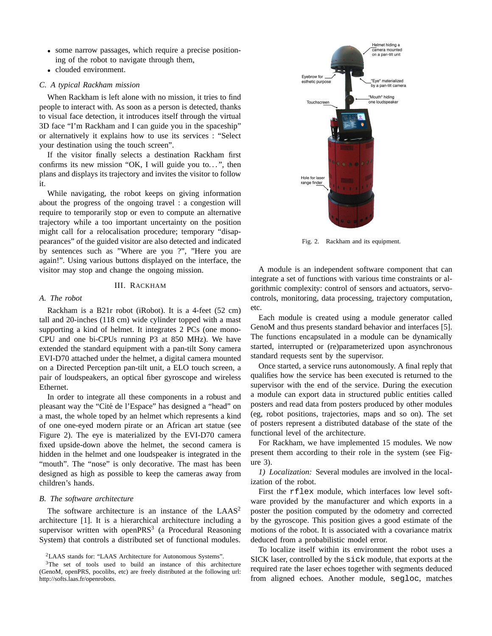- some narrow passages, which require a precise positioning of the robot to navigate through them,
- clouded environment.

## *C. A typical Rackham mission*

When Rackham is left alone with no mission, it tries to find people to interact with. As soon as a person is detected, thanks to visual face detection, it introduces itself through the virtual 3D face "I'm Rackham and I can guide you in the spaceship" or alternatively it explains how to use its services : "Select your destination using the touch screen".

If the visitor finally selects a destination Rackham first confirms its new mission "OK, I will guide you to...", then plans and displays its trajectory and invites the visitor to follow it.

While navigating, the robot keeps on giving information about the progress of the ongoing travel : a congestion will require to temporarily stop or even to compute an alternative trajectory while a too important uncertainty on the position might call for a relocalisation procedure; temporary "disappearances" of the guided visitor are also detected and indicated by sentences such as "Where are you ?", "Here you are again!". Using various buttons displayed on the interface, the visitor may stop and change the ongoing mission.

## III. RACKHAM

#### *A. The robot*

Rackham is a B21r robot (iRobot). It is a 4-feet (52 cm) tall and 20-inches (118 cm) wide cylinder topped with a mast supporting a kind of helmet. It integrates 2 PCs (one mono-CPU and one bi-CPUs running P3 at 850 MHz). We have extended the standard equipment with a pan-tilt Sony camera EVI-D70 attached under the helmet, a digital camera mounted on a Directed Perception pan-tilt unit, a ELO touch screen, a pair of loudspeakers, an optical fiber gyroscope and wireless Ethernet.

In order to integrate all these components in a robust and pleasant way the "Cité de l'Espace" has designed a "head" on a mast, the whole toped by an helmet which represents a kind of one one-eyed modern pirate or an African art statue (see Figure 2). The eye is materialized by the EVI-D70 camera fixed upside-down above the helmet, the second camera is hidden in the helmet and one loudspeaker is integrated in the "mouth". The "nose" is only decorative. The mast has been designed as high as possible to keep the cameras away from children's hands.

## *B. The software architecture*

The software architecture is an instance of the LAAS<sup>2</sup> architecture [1]. It is a hierarchical architecture including a supervisor written with open $PRS<sup>3</sup>$  (a Procedural Reasoning System) that controls a distributed set of functional modules.



Fig. 2. Rackham and its equipment.

A module is an independent software component that can integrate a set of functions with various time constraints or algorithmic complexity: control of sensors and actuators, servocontrols, monitoring, data processing, trajectory computation, etc.

Each module is created using a module generator called GenoM and thus presents standard behavior and interfaces [5]. The functions encapsulated in a module can be dynamically started, interrupted or (re)parameterized upon asynchronous standard requests sent by the supervisor.

Once started, a service runs autonomously. A final reply that qualifies how the service has been executed is returned to the supervisor with the end of the service. During the execution a module can export data in structured public entities called posters and read data from posters produced by other modules (eg, robot positions, trajectories, maps and so on). The set of posters represent a distributed database of the state of the functional level of the architecture.

For Rackham, we have implemented 15 modules. We now present them according to their role in the system (see Figure 3).

*1) Localization:* Several modules are involved in the localization of the robot.

First the rflex module, which interfaces low level software provided by the manufacturer and which exports in a poster the position computed by the odometry and corrected by the gyroscope. This position gives a good estimate of the motions of the robot. It is associated with a covariance matrix deduced from a probabilistic model error.

To localize itself within its environment the robot uses a SICK laser, controlled by the sick module, that exports at the required rate the laser echoes together with segments deduced from aligned echoes. Another module, segloc, matches

<sup>2</sup>LAAS stands for: "LAAS Architecture for Autonomous Systems".

<sup>&</sup>lt;sup>3</sup>The set of tools used to build an instance of this architecture (GenoM, openPRS, pocolibs, etc) are freely distributed at the following url: http://softs.laas.fr/openrobots.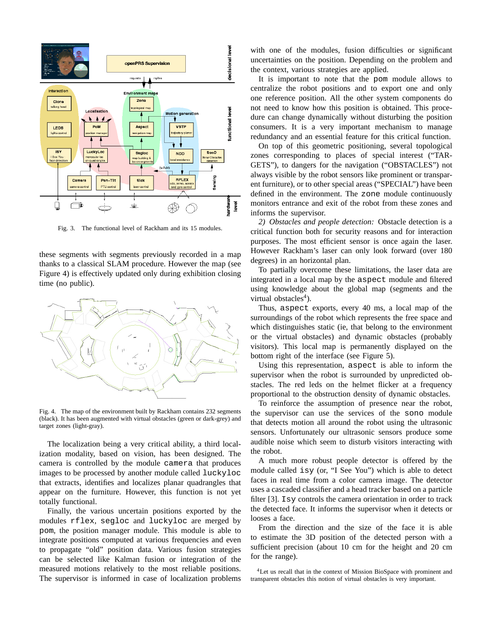

Fig. 3. The functional level of Rackham and its 15 modules.

these segments with segments previously recorded in a map thanks to a classical SLAM procedure. However the map (see Figure 4) is effectively updated only during exhibition closing time (no public).



Fig. 4. The map of the environment built by Rackham contains 232 segments (black). It has been augmented with virtual obstacles (green or dark-grey) and target zones (light-gray).

The localization being a very critical ability, a third localization modality, based on vision, has been designed. The camera is controlled by the module camera that produces images to be processed by another module called luckyloc that extracts, identifies and localizes planar quadrangles that appear on the furniture. However, this function is not yet totally functional.

Finally, the various uncertain positions exported by the modules rflex, segloc and luckyloc are merged by pom, the position manager module. This module is able to integrate positions computed at various frequencies and even to propagate "old" position data. Various fusion strategies can be selected like Kalman fusion or integration of the measured motions relatively to the most reliable positions. The supervisor is informed in case of localization problems

with one of the modules, fusion difficulties or significant uncertainties on the position. Depending on the problem and the context, various strategies are applied.

It is important to note that the pom module allows to centralize the robot positions and to export one and only one reference position. All the other system components do not need to know how this position is obtained. This procedure can change dynamically without disturbing the position consumers. It is a very important mechanism to manage redundancy and an essential feature for this critical function.

On top of this geometric positioning, several topological zones corresponding to places of special interest ("TAR-GETS"), to dangers for the navigation ("OBSTACLES") not always visible by the robot sensors like prominent or transparent furniture), or to other special areas ("SPECIAL") have been defined in the environment. The zone module continuously monitors entrance and exit of the robot from these zones and informs the supervisor.

*2) Obstacles and people detection:* Obstacle detection is a critical function both for security reasons and for interaction purposes. The most efficient sensor is once again the laser. However Rackham's laser can only look forward (over 180 degrees) in an horizontal plan.

To partially overcome these limitations, the laser data are integrated in a local map by the aspect module and filtered using knowledge about the global map (segments and the virtual obstacles<sup>4</sup>).

Thus, aspect exports, every 40 ms, a local map of the surroundings of the robot which represents the free space and which distinguishes static (ie, that belong to the environment or the virtual obstacles) and dynamic obstacles (probably visitors). This local map is permanently displayed on the bottom right of the interface (see Figure 5).

Using this representation, aspect is able to inform the supervisor when the robot is surrounded by unpredicted obstacles. The red leds on the helmet flicker at a frequency proportional to the obstruction density of dynamic obstacles.

To reinforce the assumption of presence near the robot, the supervisor can use the services of the sono module that detects motion all around the robot using the ultrasonic sensors. Unfortunately our ultrasonic sensors produce some audible noise which seem to disturb visitors interacting with the robot.

A much more robust people detector is offered by the module called isy (or, "I See You") which is able to detect faces in real time from a color camera image. The detector uses a cascaded classifier and a head tracker based on a particle filter [3]. Isy controls the camera orientation in order to track the detected face. It informs the supervisor when it detects or looses a face.

From the direction and the size of the face it is able to estimate the 3D position of the detected person with a sufficient precision (about 10 cm for the height and 20 cm for the range).

<sup>4</sup>Let us recall that in the context of Mission BioSpace with prominent and transparent obstacles this notion of virtual obstacles is very important.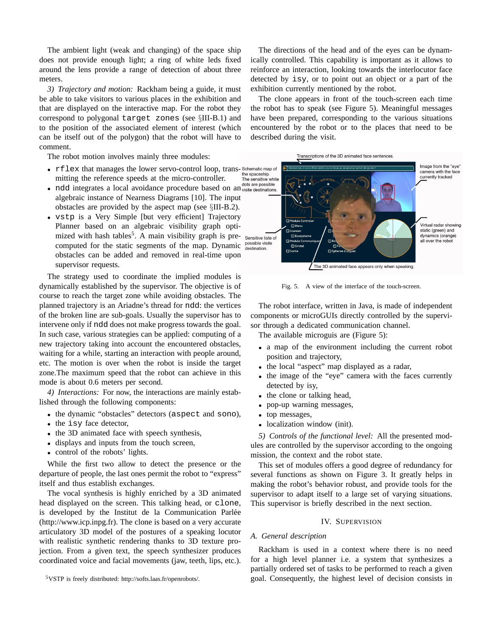The ambient light (weak and changing) of the space ship does not provide enough light; a ring of white leds fixed around the lens provide a range of detection of about three meters.

*3) Trajectory and motion:* Rackham being a guide, it must be able to take visitors to various places in the exhibition and that are displayed on the interactive map. For the robot they correspond to polygonal target zones (see §III-B.1) and to the position of the associated element of interest (which can be itself out of the polygon) that the robot will have to comment.

The robot motion involves mainly three modules:

- rflex that manages the lower servo-control loop, trans-Schematic map of the spaceship. mitting the reference speeds at the micro-controller.
- ndd integrates a local avoidance procedure based on an  $\frac{1}{1}$  visite destinations. algebraic instance of Nearness Diagrams [10]. The input obstacles are provided by the aspect map (see §III-B.2).
- vstp is a Very Simple [but very efficient] Trajectory Planner based on an algebraic visibility graph optimized with hash tables<sup>5</sup>. A main visibility graph is precomputed for the static segments of the map. Dynamic obstacles can be added and removed in real-time upon supervisor requests.

The strategy used to coordinate the implied modules is dynamically established by the supervisor. The objective is of course to reach the target zone while avoiding obstacles. The planned trajectory is an Ariadne's thread for ndd: the vertices of the broken line are sub-goals. Usually the supervisor has to intervene only if ndd does not make progress towards the goal. In such case, various strategies can be applied: computing of a new trajectory taking into account the encountered obstacles, waiting for a while, starting an interaction with people around, etc. The motion is over when the robot is inside the target zone.The maximum speed that the robot can achieve in this mode is about 0.6 meters per second.

*4) Interactions:* For now, the interactions are mainly established through the following components:

- the dynamic "obstacles" detectors (aspect and sono),
- the isy face detector,
- the 3D animated face with speech synthesis,
- displays and inputs from the touch screen,
- control of the robots' lights.

While the first two allow to detect the presence or the departure of people, the last ones permit the robot to "express" itself and thus establish exchanges.

The vocal synthesis is highly enriched by a 3D animated head displayed on the screen. This talking head, or clone, is developed by the Institut de la Communication Parlée (http://www.icp.inpg.fr). The clone is based on a very accurate articulatory 3D model of the postures of a speaking locutor with realistic synthetic rendering thanks to 3D texture projection. From a given text, the speech synthesizer produces coordinated voice and facial movements (jaw, teeth, lips, etc.).

<sup>5</sup>VSTP is freely distributed: http://softs.laas.fr/openrobots/.

The directions of the head and of the eyes can be dynamically controlled. This capability is important as it allows to reinforce an interaction, looking towards the interlocutor face detected by isy, or to point out an object or a part of the exhibition currently mentioned by the robot.

The clone appears in front of the touch-screen each time the robot has to speak (see Figure 5). Meaningful messages have been prepared, corresponding to the various situations encountered by the robot or to the places that need to be described during the visit.



Fig. 5. A view of the interface of the touch-screen.

The robot interface, written in Java, is made of independent components or microGUIs directly controlled by the supervisor through a dedicated communication channel.

The available microguis are (Figure 5):

- a map of the environment including the current robot position and trajectory,
- the local "aspect" map displayed as a radar,
- the image of the "eye" camera with the faces currently detected by isy,
- the clone or talking head,
- pop-up warning messages,
- top messages,
- localization window (init).

*5) Controls of the functional level:* All the presented modules are controlled by the supervisor according to the ongoing mission, the context and the robot state.

This set of modules offers a good degree of redundancy for several functions as shown on Figure 3. It greatly helps in making the robot's behavior robust, and provide tools for the supervisor to adapt itself to a large set of varying situations. This supervisor is briefly described in the next section.

## IV. SUPERVISION

## *A. General description*

Rackham is used in a context where there is no need for a high level planner i.e. a system that synthesizes a partially ordered set of tasks to be performed to reach a given goal. Consequently, the highest level of decision consists in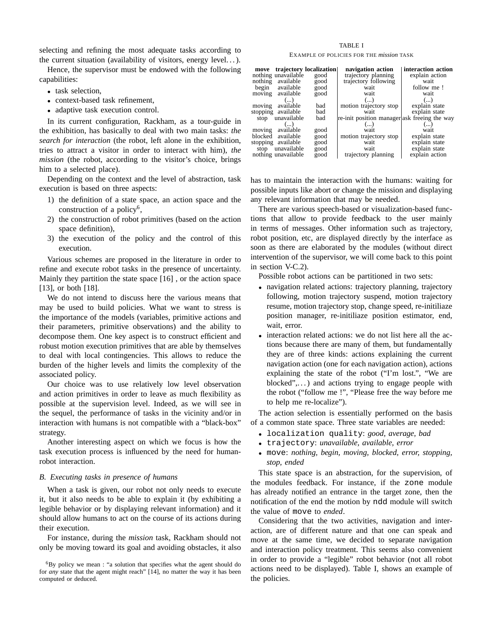selecting and refining the most adequate tasks according to the current situation (availability of visitors, energy level. . . ).

Hence, the supervisor must be endowed with the following capabilities:

- task selection,
- context-based task refinement,
- adaptive task execution control.

In its current configuration, Rackham, as a tour-guide in the exhibition, has basically to deal with two main tasks: *the search for interaction* (the robot, left alone in the exhibition, tries to attract a visitor in order to interact with him), *the mission* (the robot, according to the visitor's choice, brings him to a selected place).

Depending on the context and the level of abstraction, task execution is based on three aspects:

- 1) the definition of a state space, an action space and the construction of a policy<sup>6</sup>,
- 2) the construction of robot primitives (based on the action space definition),
- 3) the execution of the policy and the control of this execution.

Various schemes are proposed in the literature in order to refine and execute robot tasks in the presence of uncertainty. Mainly they partition the state space [16] , or the action space [13], or both [18].

We do not intend to discuss here the various means that may be used to build policies. What we want to stress is the importance of the models (variables, primitive actions and their parameters, primitive observations) and the ability to decompose them. One key aspect is to construct efficient and robust motion execution primitives that are able by themselves to deal with local contingencies. This allows to reduce the burden of the higher levels and limits the complexity of the associated policy.

Our choice was to use relatively low level observation and action primitives in order to leave as much flexibility as possible at the supervision level. Indeed, as we will see in the sequel, the performance of tasks in the vicinity and/or in interaction with humans is not compatible with a "black-box" strategy.

Another interesting aspect on which we focus is how the task execution process is influenced by the need for humanrobot interaction.

## *B. Executing tasks in presence of humans*

When a task is given, our robot not only needs to execute it, but it also needs to be able to explain it (by exhibiting a legible behavior or by displaying relevant information) and it should allow humans to act on the course of its actions during their execution.

For instance, during the *mission* task, Rackham should not only be moving toward its goal and avoiding obstacles, it also

## TABLE I

EXAMPLE OF POLICIES FOR THE *mission* TASK

| move     |                     | trajectory localization | navigation action                            | interaction action |
|----------|---------------------|-------------------------|----------------------------------------------|--------------------|
|          | nothing unavailable | good                    | trajectory planning                          | explain action     |
| nothing  | available           | good                    | trajectory following                         | wait               |
| begin    | available           | good                    | wait                                         | follow me!         |
| moving   | available           | good                    | wait                                         | wait               |
|          |                     |                         |                                              | ()                 |
| moving   | available           | bad                     | motion trajectory stop                       | explain state      |
| stopping | available           | bad                     | wait                                         | explain state      |
| stop     | unavailable         | bad                     | re-init position manager ask freeing the way |                    |
|          |                     |                         |                                              |                    |
| moving   | available           | good                    | wait                                         | wait               |
| blocked  | available           | good                    | motion trajectory stop                       | explain state      |
| stopping | available           | good                    | wait                                         | explain state      |
| stop     | unavailable         | good                    | wait                                         | explain state      |
|          | nothing unavailable | good                    | trajectory planning                          | explain action     |

has to maintain the interaction with the humans: waiting for possible inputs like abort or change the mission and displaying any relevant information that may be needed.

There are various speech-based or visualization-based functions that allow to provide feedback to the user mainly in terms of messages. Other information such as trajectory, robot position, etc, are displayed directly by the interface as soon as there are elaborated by the modules (without direct intervention of the supervisor, we will come back to this point in section V-C.2).

Possible robot actions can be partitioned in two sets:

- navigation related actions: trajectory planning, trajectory following, motion trajectory suspend, motion trajectory resume, motion trajectory stop, change speed, re-initiliaze position manager, re-initiliaze position estimator, end, wait, error.
- interaction related actions: we do not list here all the actions because there are many of them, but fundamentally they are of three kinds: actions explaining the current navigation action (one for each navigation action), actions explaining the state of the robot ("I'm lost.", "We are blocked", $\dots$ ) and actions trying to engage people with the robot ("follow me !", "Please free the way before me to help me re-localize").

The action selection is essentially performed on the basis of a common state space. Three state variables are needed:

- localization quality: *good, average, bad*
- trajectory: *unavailable, available, error*
- move: *nothing, begin, moving, blocked, error, stopping, stop, ended*

This state space is an abstraction, for the supervision, of the modules feedback. For instance, if the zone module has already notified an entrance in the target zone, then the notification of the end the motion by ndd module will switch the value of move to *ended*.

Considering that the two activities, navigation and interaction, are of different nature and that one can speak and move at the same time, we decided to separate navigation and interaction policy treatment. This seems also convenient in order to provide a "legible" robot behavior (not all robot actions need to be displayed). Table I, shows an example of the policies.

 ${}^{6}$ By policy we mean : "a solution that specifies what the agent should do for *any* state that the agent might reach" [14], no matter the way it has been computed or deduced.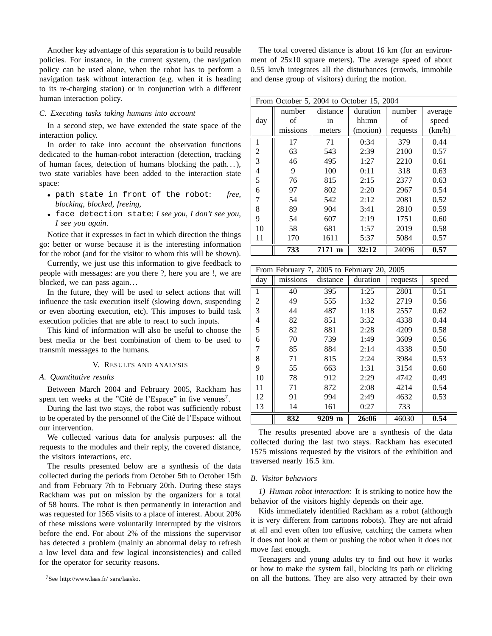Another key advantage of this separation is to build reusable policies. For instance, in the current system, the navigation policy can be used alone, when the robot has to perform a navigation task without interaction (e.g. when it is heading to its re-charging station) or in conjunction with a different human interaction policy.

## *C. Executing tasks taking humans into account*

In a second step, we have extended the state space of the interaction policy.

In order to take into account the observation functions dedicated to the human-robot interaction (detection, tracking of human faces, detection of humans blocking the path. . . ), two state variables have been added to the interaction state space:

- path state in front of the robot: *free, blocking, blocked, freeing,*
- face detection state: *I see you, I don't see you, I see you again*.

Notice that it expresses in fact in which direction the things go: better or worse because it is the interesting information for the robot (and for the visitor to whom this will be shown).

Currently, we just use this information to give feedback to people with messages: are you there ?, here you are !, we are blocked, we can pass again. . .

In the future, they will be used to select actions that will influence the task execution itself (slowing down, suspending or even aborting execution, etc). This imposes to build task execution policies that are able to react to such inputs.

This kind of information will also be useful to choose the best media or the best combination of them to be used to transmit messages to the humans.

#### V. RESULTS AND ANALYSIS

#### *A. Quantitative results*

Between March 2004 and February 2005, Rackham has spent ten weeks at the "Cité de l'Espace" in five venues<sup>7</sup>.

During the last two stays, the robot was sufficiently robust to be operated by the personnel of the Cité de l'Espace without our intervention.

We collected various data for analysis purposes: all the requests to the modules and their reply, the covered distance, the visitors interactions, etc.

The results presented below are a synthesis of the data collected during the periods from October 5th to October 15th and from February 7th to February 20th. During these stays Rackham was put on mission by the organizers for a total of 58 hours. The robot is then permanently in interaction and was requested for 1565 visits to a place of interest. About 20% of these missions were voluntarily interrupted by the visitors before the end. For about 2% of the missions the supervisor has detected a problem (mainly an abnormal delay to refresh a low level data and few logical inconsistencies) and called for the operator for security reasons.

<sup>7</sup>See http://www.laas.fr/ sara/laasko.

The total covered distance is about 16 km (for an environment of 25x10 square meters). The average speed of about 0.55 km/h integrates all the disturbances (crowds, immobile and dense group of visitors) during the motion.

| From October 5, 2004 to October 15, 2004 |          |          |          |          |         |  |  |
|------------------------------------------|----------|----------|----------|----------|---------|--|--|
|                                          | number   | distance | duration | number   | average |  |  |
| day                                      | of       | in       | hh:mn    | of       | speed   |  |  |
|                                          | missions | meters   | (motion) | requests | (km/h)  |  |  |
| 1                                        | 17       | 71       | 0:34     | 379      | 0.44    |  |  |
| 2                                        | 63       | 543      | 2:39     | 2100     | 0.57    |  |  |
| 3                                        | 46       | 495      | 1:27     | 2210     | 0.61    |  |  |
| $\overline{4}$                           | 9        | 100      | 0:11     | 318      | 0.63    |  |  |
| 5                                        | 76       | 815      | 2:15     | 2377     | 0.63    |  |  |
| 6                                        | 97       | 802      | 2:20     | 2967     | 0.54    |  |  |
| 7                                        | 54       | 542      | 2:12     | 2081     | 0.52    |  |  |
| 8                                        | 89       | 904      | 3:41     | 2810     | 0.59    |  |  |
| 9                                        | 54       | 607      | 2:19     | 1751     | 0.60    |  |  |
| 10                                       | 58       | 681      | 1:57     | 2019     | 0.58    |  |  |
| 11                                       | 170      | 1611     | 5:37     | 5084     | 0.57    |  |  |
|                                          | 733      | 7171 m   | 32:12    | 24096    | 0.57    |  |  |

| From February 7, 2005 to February 20, 2005 |          |          |          |          |       |  |  |
|--------------------------------------------|----------|----------|----------|----------|-------|--|--|
| day                                        | missions | distance | duration | requests | speed |  |  |
| 1                                          | 40       | 395      | 1:25     | 2801     | 0.51  |  |  |
| $\overline{2}$                             | 49       | 555      | 1:32     | 2719     | 0.56  |  |  |
| 3                                          | 44       | 487      | 1:18     | 2557     | 0.62  |  |  |
| $\overline{4}$                             | 82       | 851      | 3:32     | 4338     | 0.44  |  |  |
| 5                                          | 82       | 881      | 2:28     | 4209     | 0.58  |  |  |
| 6                                          | 70       | 739      | 1:49     | 3609     | 0.56  |  |  |
| 7                                          | 85       | 884      | 2:14     | 4338     | 0.50  |  |  |
| 8                                          | 71       | 815      | 2:24     | 3984     | 0.53  |  |  |
| 9                                          | 55       | 663      | 1:31     | 3154     | 0.60  |  |  |
| 10                                         | 78       | 912      | 2:29     | 4742     | 0.49  |  |  |
| 11                                         | 71       | 872      | 2:08     | 4214     | 0.54  |  |  |
| 12                                         | 91       | 994      | 2:49     | 4632     | 0.53  |  |  |
| 13                                         | 14       | 161      | 0:27     | 733      |       |  |  |
|                                            | 832      | 9209 m   | 26:06    | 46030    | 0.54  |  |  |

The results presented above are a synthesis of the data collected during the last two stays. Rackham has executed 1575 missions requested by the visitors of the exhibition and traversed nearly 16.5 km.

#### *B. Visitor behaviors*

*1) Human robot interaction:* It is striking to notice how the behavior of the visitors highly depends on their age.

Kids immediately identified Rackham as a robot (although it is very different from cartoons robots). They are not afraid at all and even often too effusive, catching the camera when it does not look at them or pushing the robot when it does not move fast enough.

Teenagers and young adults try to find out how it works or how to make the system fail, blocking its path or clicking on all the buttons. They are also very attracted by their own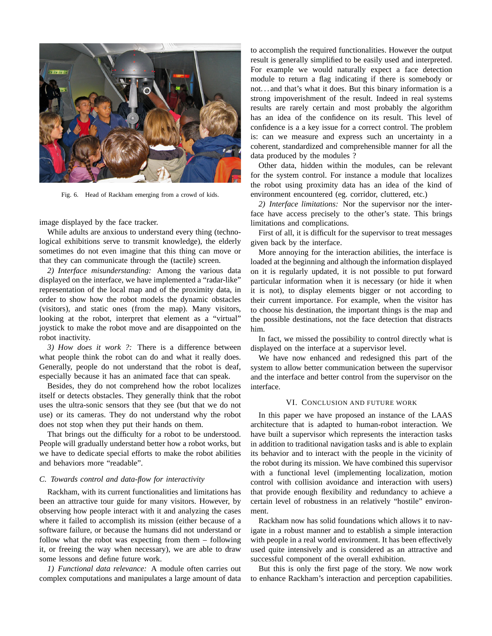

Fig. 6. Head of Rackham emerging from a crowd of kids.

image displayed by the face tracker.

While adults are anxious to understand every thing (technological exhibitions serve to transmit knowledge), the elderly sometimes do not even imagine that this thing can move or that they can communicate through the (tactile) screen.

*2) Interface misunderstanding:* Among the various data displayed on the interface, we have implemented a "radar-like" representation of the local map and of the proximity data, in order to show how the robot models the dynamic obstacles (visitors), and static ones (from the map). Many visitors, looking at the robot, interpret that element as a "virtual" joystick to make the robot move and are disappointed on the robot inactivity.

*3) How does it work ?:* There is a difference between what people think the robot can do and what it really does. Generally, people do not understand that the robot is deaf, especially because it has an animated face that can speak.

Besides, they do not comprehend how the robot localizes itself or detects obstacles. They generally think that the robot uses the ultra-sonic sensors that they see (but that we do not use) or its cameras. They do not understand why the robot does not stop when they put their hands on them.

That brings out the difficulty for a robot to be understood. People will gradually understand better how a robot works, but we have to dedicate special efforts to make the robot abilities and behaviors more "readable".

## *C. Towards control and data-flow for interactivity*

Rackham, with its current functionalities and limitations has been an attractive tour guide for many visitors. However, by observing how people interact with it and analyzing the cases where it failed to accomplish its mission (either because of a software failure, or because the humans did not understand or follow what the robot was expecting from them – following it, or freeing the way when necessary), we are able to draw some lessons and define future work.

*1) Functional data relevance:* A module often carries out complex computations and manipulates a large amount of data

to accomplish the required functionalities. However the output result is generally simplified to be easily used and interpreted. For example we would naturally expect a face detection module to return a flag indicating if there is somebody or not. . . and that's what it does. But this binary information is a strong impoverishment of the result. Indeed in real systems results are rarely certain and most probably the algorithm has an idea of the confidence on its result. This level of confidence is a a key issue for a correct control. The problem is: can we measure and express such an uncertainty in a coherent, standardized and comprehensible manner for all the data produced by the modules ?

Other data, hidden within the modules, can be relevant for the system control. For instance a module that localizes the robot using proximity data has an idea of the kind of environment encountered (eg. corridor, cluttered, etc.)

*2) Interface limitations:* Nor the supervisor nor the interface have access precisely to the other's state. This brings limitations and complications.

First of all, it is difficult for the supervisor to treat messages given back by the interface.

More annoying for the interaction abilities, the interface is loaded at the beginning and although the information displayed on it is regularly updated, it is not possible to put forward particular information when it is necessary (or hide it when it is not), to display elements bigger or not according to their current importance. For example, when the visitor has to choose his destination, the important things is the map and the possible destinations, not the face detection that distracts him.

In fact, we missed the possibility to control directly what is displayed on the interface at a supervisor level.

We have now enhanced and redesigned this part of the system to allow better communication between the supervisor and the interface and better control from the supervisor on the interface.

#### VI. CONCLUSION AND FUTURE WORK

In this paper we have proposed an instance of the LAAS architecture that is adapted to human-robot interaction. We have built a supervisor which represents the interaction tasks in addition to traditional navigation tasks and is able to explain its behavior and to interact with the people in the vicinity of the robot during its mission. We have combined this supervisor with a functional level (implementing localization, motion control with collision avoidance and interaction with users) that provide enough flexibility and redundancy to achieve a certain level of robustness in an relatively "hostile" environment.

Rackham now has solid foundations which allows it to navigate in a robust manner and to establish a simple interaction with people in a real world environment. It has been effectively used quite intensively and is considered as an attractive and successful component of the overall exhibition.

But this is only the first page of the story. We now work to enhance Rackham's interaction and perception capabilities.